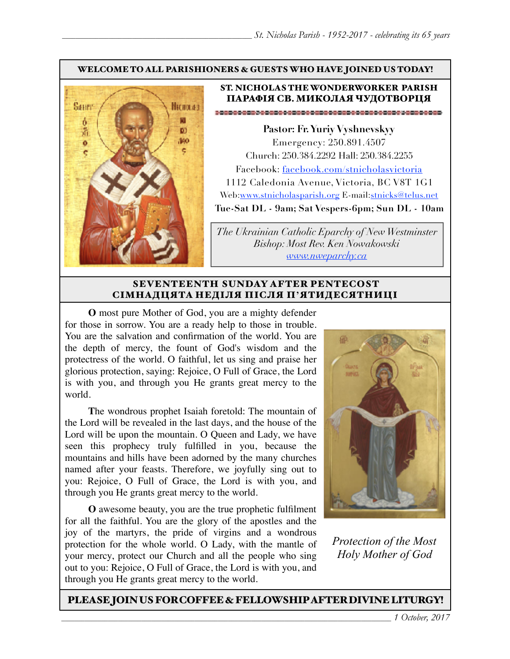#### WELCOME TO ALL PARISHIONERS & GUESTS WHO HAVE JOINED US TODAY!



### ST. NICHOLAS THE WONDERWORKER PARISH ПАРАФІЯ СВ. МИКОЛАЯ ЧУДОТВОРЦЯ

**Pastor: Fr. Yuriy Vyshnevskyy** Emergency: 250.891.4507 Church: 250.384.2292 Hall: 250.384.2255 Facebook: facebook.com/stnicholasvictoria 1112 Caledonia Avenue, Victoria, BC V8T 1G1 Web[:www.stnicholasparish.org](http://www.stnicholasparish.org) E-mail:[stnicks@telus.net](mailto:stnicks@telus.net) **Tue-Sat DL - 9am; Sat Vespers-6pm; Sun DL - 10am**

*The Ukrainian Catholic Eparchy of New Westminster Bishop: Most Rev. Ken Nowakowski [www.nweparchy.ca](http://www.nweparchy.ca)*

#### SEVENTEENTH SUNDAY AFTER PENTECOST СІМНАДЦЯТА НЕДІЛЯ ПІСЛЯ П**'**ЯТИДЕСЯТНИЦІ

**O** most pure Mother of God, you are a mighty defender for those in sorrow. You are a ready help to those in trouble. You are the salvation and confirmation of the world. You are the depth of mercy, the fount of God's wisdom and the protectress of the world. O faithful, let us sing and praise her glorious protection, saying: Rejoice, O Full of Grace, the Lord is with you, and through you He grants great mercy to the world.

**T**he wondrous prophet Isaiah foretold: The mountain of the Lord will be revealed in the last days, and the house of the Lord will be upon the mountain. O Queen and Lady, we have seen this prophecy truly fulfilled in you, because the mountains and hills have been adorned by the many churches named after your feasts. Therefore, we joyfully sing out to you: Rejoice, O Full of Grace, the Lord is with you, and through you He grants great mercy to the world.

**O** awesome beauty, you are the true prophetic fulfilment for all the faithful. You are the glory of the apostles and the joy of the martyrs, the pride of virgins and a wondrous protection for the whole world. O Lady, with the mantle of your mercy, protect our Church and all the people who sing out to you: Rejoice, O Full of Grace, the Lord is with you, and through you He grants great mercy to the world.



*Protection of the Most Holy Mother of God*

PLEASE JOIN US FOR COFFEE & FELLOWSHIP AFTER DIVINE LITURGY!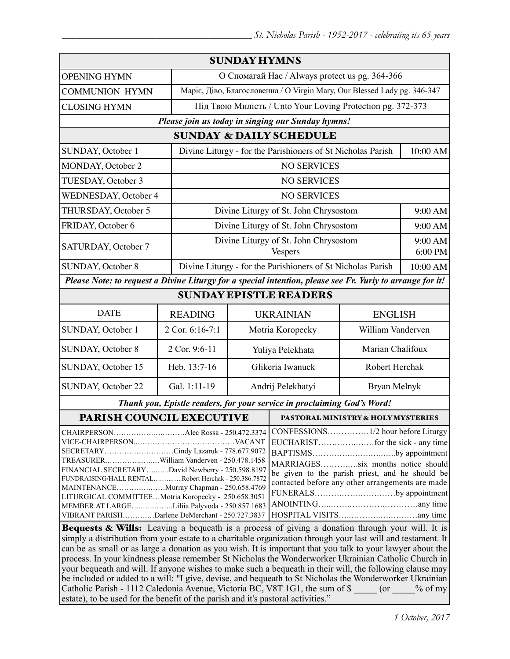| <b>SUNDAY HYMNS</b>                                                                                                                                                                                                                                                                                                                                                                        |                 |                                                                          |                                                                                                                                                                                              |                                                             |                    |  |  |
|--------------------------------------------------------------------------------------------------------------------------------------------------------------------------------------------------------------------------------------------------------------------------------------------------------------------------------------------------------------------------------------------|-----------------|--------------------------------------------------------------------------|----------------------------------------------------------------------------------------------------------------------------------------------------------------------------------------------|-------------------------------------------------------------|--------------------|--|--|
| <b>OPENING HYMN</b>                                                                                                                                                                                                                                                                                                                                                                        |                 | О Спомагай Нас / Always protect us pg. 364-366                           |                                                                                                                                                                                              |                                                             |                    |  |  |
| <b>COMMUNION HYMN</b>                                                                                                                                                                                                                                                                                                                                                                      |                 | Маріє, Діво, Благословенна / О Virgin Mary, Our Blessed Lady pg. 346-347 |                                                                                                                                                                                              |                                                             |                    |  |  |
| <b>CLOSING HYMN</b>                                                                                                                                                                                                                                                                                                                                                                        |                 | Під Твою Милість / Unto Your Loving Protection pg. 372-373               |                                                                                                                                                                                              |                                                             |                    |  |  |
| Please join us today in singing our Sunday hymns!                                                                                                                                                                                                                                                                                                                                          |                 |                                                                          |                                                                                                                                                                                              |                                                             |                    |  |  |
| <b>SUNDAY &amp; DAILY SCHEDULE</b>                                                                                                                                                                                                                                                                                                                                                         |                 |                                                                          |                                                                                                                                                                                              |                                                             |                    |  |  |
| SUNDAY, October 1                                                                                                                                                                                                                                                                                                                                                                          |                 |                                                                          | Divine Liturgy - for the Parishioners of St Nicholas Parish<br>10:00 AM                                                                                                                      |                                                             |                    |  |  |
| MONDAY, October 2                                                                                                                                                                                                                                                                                                                                                                          |                 | <b>NO SERVICES</b>                                                       |                                                                                                                                                                                              |                                                             |                    |  |  |
| TUESDAY, October 3                                                                                                                                                                                                                                                                                                                                                                         |                 | <b>NO SERVICES</b>                                                       |                                                                                                                                                                                              |                                                             |                    |  |  |
| <b>WEDNESDAY, October 4</b>                                                                                                                                                                                                                                                                                                                                                                |                 | <b>NO SERVICES</b>                                                       |                                                                                                                                                                                              |                                                             |                    |  |  |
| THURSDAY, October 5                                                                                                                                                                                                                                                                                                                                                                        |                 | Divine Liturgy of St. John Chrysostom                                    |                                                                                                                                                                                              |                                                             | 9:00 AM            |  |  |
| FRIDAY, October 6                                                                                                                                                                                                                                                                                                                                                                          |                 | Divine Liturgy of St. John Chrysostom                                    |                                                                                                                                                                                              |                                                             | 9:00 AM            |  |  |
| SATURDAY, October 7                                                                                                                                                                                                                                                                                                                                                                        |                 |                                                                          | Divine Liturgy of St. John Chrysostom<br><b>Vespers</b>                                                                                                                                      |                                                             | 9:00 AM<br>6:00 PM |  |  |
| <b>SUNDAY, October 8</b>                                                                                                                                                                                                                                                                                                                                                                   |                 |                                                                          |                                                                                                                                                                                              | Divine Liturgy - for the Parishioners of St Nicholas Parish |                    |  |  |
| Please Note: to request a Divine Liturgy for a special intention, please see Fr. Yuriy to arrange for it!                                                                                                                                                                                                                                                                                  |                 |                                                                          |                                                                                                                                                                                              |                                                             |                    |  |  |
| <b>SUNDAY EPISTLE READERS</b>                                                                                                                                                                                                                                                                                                                                                              |                 |                                                                          |                                                                                                                                                                                              |                                                             |                    |  |  |
| <b>DATE</b>                                                                                                                                                                                                                                                                                                                                                                                | <b>READING</b>  |                                                                          | <b>UKRAINIAN</b><br><b>ENGLISH</b>                                                                                                                                                           |                                                             |                    |  |  |
| SUNDAY, October 1                                                                                                                                                                                                                                                                                                                                                                          | 2 Cor. 6:16-7:1 |                                                                          | Motria Koropecky                                                                                                                                                                             | William Vanderven                                           |                    |  |  |
| SUNDAY, October 8                                                                                                                                                                                                                                                                                                                                                                          | 2 Cor. 9:6-11   | Yuliya Pelekhata                                                         |                                                                                                                                                                                              |                                                             | Marian Chalifoux   |  |  |
| SUNDAY, October 15                                                                                                                                                                                                                                                                                                                                                                         | Heb. 13:7-16    | Glikeria Iwanuck                                                         |                                                                                                                                                                                              | Robert Herchak                                              |                    |  |  |
| SUNDAY, October 22                                                                                                                                                                                                                                                                                                                                                                         | Gal. 1:11-19    | Andrij Pelekhatyi                                                        |                                                                                                                                                                                              |                                                             | Bryan Melnyk       |  |  |
| Thank you, Epistle readers, for your service in proclaiming God's Word!                                                                                                                                                                                                                                                                                                                    |                 |                                                                          |                                                                                                                                                                                              |                                                             |                    |  |  |
| <b>PARISH COUNCIL EXECUTIVE</b>                                                                                                                                                                                                                                                                                                                                                            |                 |                                                                          | <b>PASTORAL MINISTRY &amp; HOLY MYSTERIES</b>                                                                                                                                                |                                                             |                    |  |  |
| CHAIRPERSONAlec Rossa - 250.472.3374<br>SECRETARYCindy Lazaruk - 778.677.9072<br>TREASURERWilliam Vanderven - 250.478.1458<br>FINANCIAL SECRETARYDavid Newberry - 250.598.8197<br>FUNDRAISING/HALL RENTALRobert Herchak - 250.386.7872<br>MAINTENANCEMurray Chapman - 250.658.4769<br>LITURGICAL COMMITTEEMotria Koropecky - 250.658.3051<br>MEMBER AT LARGELiliia Palyvoda - 250.857.1683 |                 |                                                                          | BAPTISMSby appointment<br>MARRIAGESsix months notice should<br>be given to the parish priest, and he should be<br>contacted before any other arrangements are made<br>FUNERALSby appointment |                                                             |                    |  |  |
| VIBRANT PARISHDarlene DeMerchant - 250.727.3837<br><b>Bequests &amp; Wills:</b> Leaving a bequeath is a process of giving a donation through your will. It is                                                                                                                                                                                                                              |                 |                                                                          |                                                                                                                                                                                              |                                                             |                    |  |  |

simply a distribution from your estate to a charitable organization through your last will and testament. It can be as small or as large a donation as you wish. It is important that you talk to your lawyer about the process. In your kindness please remember St Nicholas the Wonderworker Ukrainian Catholic Church in your bequeath and will. If anyone wishes to make such a bequeath in their will, the following clause may be included or added to a will: "I give, devise, and bequeath to St Nicholas the Wonderworker Ukrainian Catholic Parish - 1112 Caledonia Avenue, Victoria BC, V8T 1G1, the sum of \$  $\qquad \qquad$  (or  $\qquad \qquad$  % of my estate), to be used for the benefit of the parish and it's pastoral activities."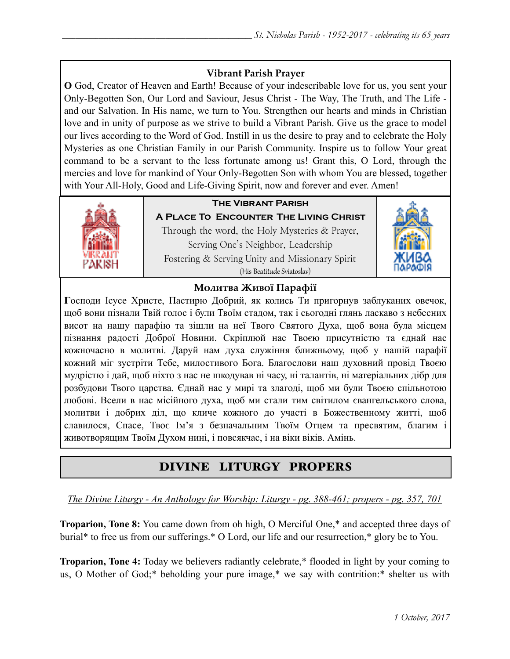### **Vibrant Parish Prayer**

**O** God, Creator of Heaven and Earth! Because of your indescribable love for us, you sent your Only-Begotten Son, Our Lord and Saviour, Jesus Christ - The Way, The Truth, and The Life and our Salvation. In His name, we turn to You. Strengthen our hearts and minds in Christian love and in unity of purpose as we strive to build a Vibrant Parish. Give us the grace to model our lives according to the Word of God. Instill in us the desire to pray and to celebrate the Holy Mysteries as one Christian Family in our Parish Community. Inspire us to follow Your great command to be a servant to the less fortunate among us! Grant this, O Lord, through the mercies and love for mankind of Your Only-Begotten Son with whom You are blessed, together with Your All-Holy, Good and Life-Giving Spirit, now and forever and ever. Amen!



## **The Vibrant Parish**

**A Place To Encounter The Living Christ** Through the word, the Holy Mysteries & Prayer, Serving One's Neighbor, Leadership Fostering & Serving Unity and Missionary Spirit (His Beatitude Sviatoslav)



### **Молитва Живої Парафії**

**Г**осподи Ісусе Христе, Пастирю Добрий, як колись Ти пригорнув заблуканих овечок, щоб вони пізнали Твій голос і були Твоїм стадом, так і сьогодні глянь ласкаво з небесних висот на нашу парафію та зішли на неї Твого Святого Духа, щоб вона була місцем пізнання радості Доброї Новини. Скріплюй нас Твоєю присутністю та єднай нас кожночасно в молитві. Даруй нам духа служіння ближньому, щоб у нашій парафії кожний міг зустріти Тебе, милостивого Бога. Благослови наш духовний провід Твоєю мудрістю і дай, щоб ніхто з нас не шкодував ні часу, ні талантів, ні матеріальних дібр для розбудови Твого царства. Єднай нас у мирі та злагоді, щоб ми були Твоєю спільнотою любові. Всели в нас місійного духа, щоб ми стали тим світилом євангельського слова, молитви і добрих діл, що кличе кожного до участі в Божественному житті, щоб славилося, Спасе, Твоє Ім'я з безначальним Твоїм Отцем та пресвятим, благим і животворящим Твоїм Духом нині, і повсякчас, і на віки віків. Амінь.

# DIVINE LITURGY PROPERS

*The Divine Liturgy - An Anthology for Worship: Liturgy - pg. 388-461; propers - pg. 357, 701* 

**Troparion, Tone 8:** You came down from oh high, O Merciful One,\* and accepted three days of burial\* to free us from our sufferings.\* O Lord, our life and our resurrection,\* glory be to You.

**Troparion, Tone 4:** Today we believers radiantly celebrate,\* flooded in light by your coming to us, O Mother of God;\* beholding your pure image,\* we say with contrition:\* shelter us with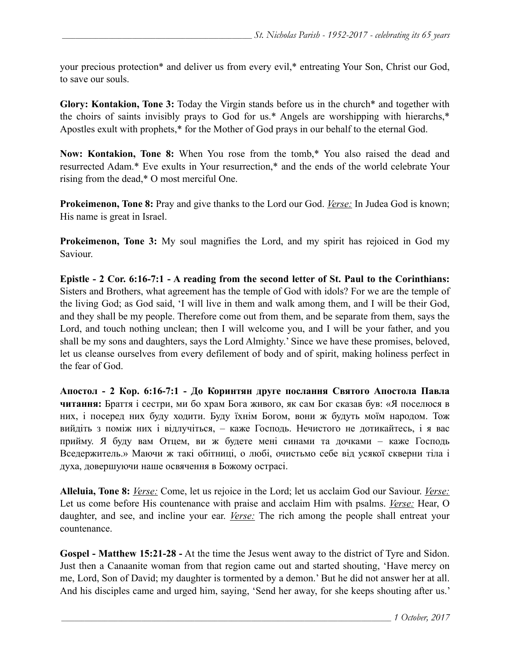your precious protection\* and deliver us from every evil,\* entreating Your Son, Christ our God, to save our souls.

**Glory: Kontakion, Tone 3:** Today the Virgin stands before us in the church\* and together with the choirs of saints invisibly prays to God for us.\* Angels are worshipping with hierarchs,\* Apostles exult with prophets,\* for the Mother of God prays in our behalf to the eternal God.

**Now: Kontakion, Tone 8:** When You rose from the tomb,\* You also raised the dead and resurrected Adam.\* Eve exults in Your resurrection,\* and the ends of the world celebrate Your rising from the dead,\* O most merciful One.

**Prokeimenon, Tone 8:** Pray and give thanks to the Lord our God. *Verse:* In Judea God is known; His name is great in Israel.

**Prokeimenon, Tone 3:** My soul magnifies the Lord, and my spirit has rejoiced in God my Saviour.

**Epistle - 2 Cor. 6:16-7:1 - A reading from the second letter of St. Paul to the Corinthians:**  Sisters and Brothers, what agreement has the temple of God with idols? For we are the temple of the living God; as God said, 'I will live in them and walk among them, and I will be their God, and they shall be my people. Therefore come out from them, and be separate from them, says the Lord, and touch nothing unclean; then I will welcome you, and I will be your father, and you shall be my sons and daughters, says the Lord Almighty.' Since we have these promises, beloved, let us cleanse ourselves from every defilement of body and of spirit, making holiness perfect in the fear of God.

**Апостол - 2 Кoр. 6:16-7:1 - До Коринтян друге послання Святого Апостола Павла читання:** Браття і сестри, ми бо храм Бога живого, як сам Бог сказав був: «Я поселюся в них, і посеред них буду ходити. Буду їхнім Богом, вони ж будуть моїм народом. Тож вийдіть з поміж них і відлучіться, – каже Господь. Нечистого не дотикайтесь, і я вас прийму. Я буду вам Отцем, ви ж будете мені синами та дочками – каже Господь Вседержитель.» Маючи ж такі обітниці, о любі, очистьмо себе від усякої скверни тіла і духа, довершуючи наше освячення в Божому острасі.

**Alleluia, Tone 8:** *Verse:* Come, let us rejoice in the Lord; let us acclaim God our Saviour. *Verse:* Let us come before His countenance with praise and acclaim Him with psalms. *Verse:* Hear, O daughter, and see, and incline your ear. *Verse:* The rich among the people shall entreat your countenance.

**Gospel - Matthew 15:21-28 -** At the time the Jesus went away to the district of Tyre and Sidon. Just then a Canaanite woman from that region came out and started shouting, 'Have mercy on me, Lord, Son of David; my daughter is tormented by a demon.' But he did not answer her at all. And his disciples came and urged him, saying, 'Send her away, for she keeps shouting after us.'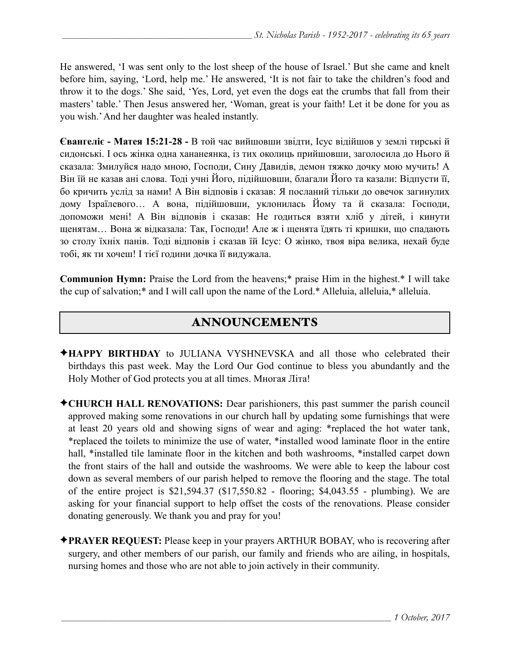He answered, 'I was sent only to the lost sheep of the house of Israel.' But she came and knelt before him, saying, 'Lord, help me.' He answered, 'It is not fair to take the children's food and throw it to the dogs.' She said, 'Yes, Lord, yet even the dogs eat the crumbs that fall from their masters' table.' Then Jesus answered her, 'Woman, great is your faith! Let it be done for you as you wish.' And her daughter was healed instantly.

**Євангеліє - Матея 15:21-28 -** В той час вийшовши звідти, Ісус відійшов у землі тирські й сидонські. І ось жінка одна хананеянка, із тих околиць прийшовши, заголосила до Нього й сказала: Змилуйся надо мною, Господи, Сину Давидів, демон тяжко дочку мою мучить! А Він їй не казав ані слова. Тоді учні Його, підійшовши, благали Його та казали: Відпусти її, бо кричить услід за нами! А Він відповів і сказав: Я посланий тільки до овечок загинулих дому Ізраїлевого… А вона, підійшовши, уклонилась Йому та й сказала: Господи, допоможи мені! А Він відповів і сказав: Не годиться взяти хліб у дітей, і кинути щенятам… Вона ж відказала: Так, Господи! Але ж і щенята їдять ті кришки, що спадають зо столу їхніх панів. Тоді відповів і сказав їй Ісус: О жінко, твоя віра велика, нехай буде тобі, як ти хочеш! І тієї години дочка її видужала.

**Communion Hymn:** Praise the Lord from the heavens;\* praise Him in the highest.\* I will take the cup of salvation;\* and I will call upon the name of the Lord.\* Alleluia, alleluia,\* alleluia.

# ANNOUNCEMENTS

- ✦**HAPPY BIRTHDAY** to JULIANA VYSHNEVSKA and all those who celebrated their birthdays this past week. May the Lord Our God continue to bless you abundantly and the Holy Mother of God protects you at all times. Многая Літа!
- ✦**CHURCH HALL RENOVATIONS:** Dear parishioners, this past summer the parish council approved making some renovations in our church hall by updating some furnishings that were at least 20 years old and showing signs of wear and aging: \*replaced the hot water tank, \*replaced the toilets to minimize the use of water, \*installed wood laminate floor in the entire hall, \*installed tile laminate floor in the kitchen and both washrooms, \*installed carpet down the front stairs of the hall and outside the washrooms. We were able to keep the labour cost down as several members of our parish helped to remove the flooring and the stage. The total of the entire project is \$21,594.37 (\$17,550.82 - flooring; \$4,043.55 - plumbing). We are asking for your financial support to help offset the costs of the renovations. Please consider donating generously. We thank you and pray for you!
- ✦**PRAYER REQUEST:** Please keep in your prayers ARTHUR BOBAY, who is recovering after surgery, and other members of our parish, our family and friends who are ailing, in hospitals, nursing homes and those who are not able to join actively in their community.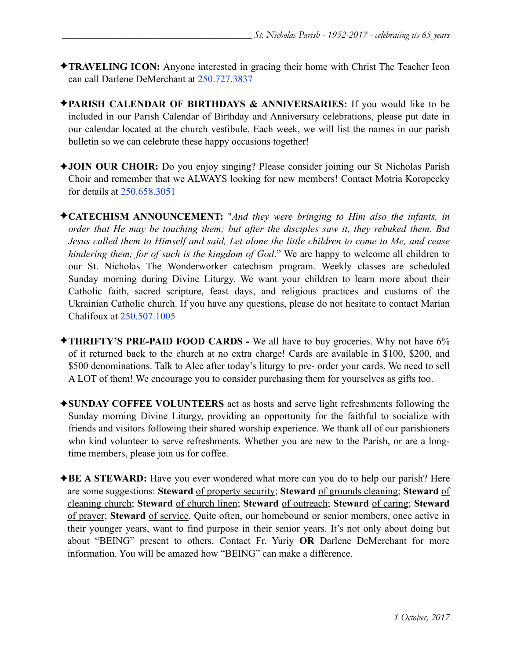- ✦**TRAVELING ICON:** Anyone interested in gracing their home with Christ The Teacher Icon can call Darlene DeMerchant at 250.727.3837
- ✦**PARISH CALENDAR OF BIRTHDAYS & ANNIVERSARIES:** If you would like to be included in our Parish Calendar of Birthday and Anniversary celebrations, please put date in our calendar located at the church vestibule. Each week, we will list the names in our parish bulletin so we can celebrate these happy occasions together!
- ✦**JOIN OUR CHOIR:** Do you enjoy singing? Please consider joining our St Nicholas Parish Choir and remember that we ALWAYS looking for new members! Contact Motria Koropecky for details at 250.658.3051
- ✦**CATECHISM ANNOUNCEMENT:** "*And they were bringing to Him also the infants, in order that He may be touching them; but after the disciples saw it, they rebuked them. But Jesus called them to Himself and said, Let alone the little children to come to Me, and cease hindering them; for of such is the kingdom of God*." We are happy to welcome all children to our St. Nicholas The Wonderworker catechism program. Weekly classes are scheduled Sunday morning during Divine Liturgy. We want your children to learn more about their Catholic faith, sacred scripture, feast days, and religious practices and customs of the Ukrainian Catholic church. If you have any questions, please do not hesitate to contact Marian Chalifoux at 250.507.1005
- ✦**THRIFTY'S PRE-PAID FOOD CARDS** We all have to buy groceries. Why not have 6% of it returned back to the church at no extra charge! Cards are available in \$100, \$200, and \$500 denominations. Talk to Alec after today's liturgy to pre- order your cards. We need to sell A LOT of them! We encourage you to consider purchasing them for yourselves as gifts too.
- ✦**SUNDAY COFFEE VOLUNTEERS** act as hosts and serve light refreshments following the Sunday morning Divine Liturgy, providing an opportunity for the faithful to socialize with friends and visitors following their shared worship experience. We thank all of our parishioners who kind volunteer to serve refreshments. Whether you are new to the Parish, or are a longtime members, please join us for coffee.
- ✦**BE A STEWARD:** Have you ever wondered what more can you do to help our parish? Here are some suggestions: **Steward** of property security; **Steward** of grounds cleaning; **Steward** of cleaning church; **Steward** of church linen; **Steward** of outreach; **Steward** of caring; **Steward** of prayer; **Steward** of service. Quite often, our homebound or senior members, once active in their younger years, want to find purpose in their senior years. It's not only about doing but about "BEING" present to others. Contact Fr. Yuriy **OR** Darlene DeMerchant for more information. You will be amazed how "BEING" can make a difference.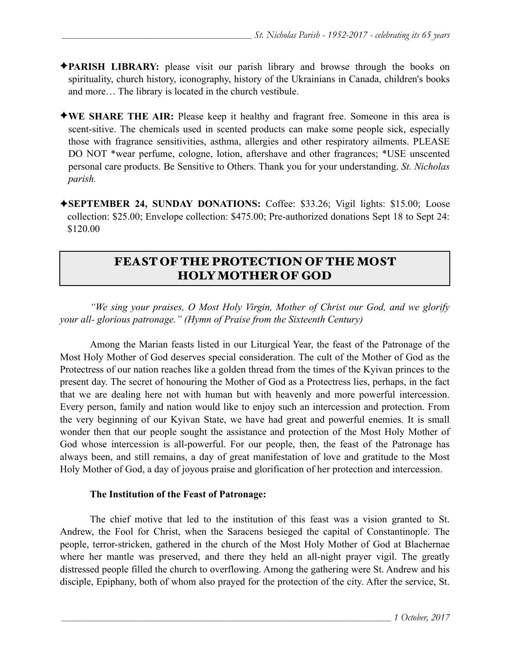- ✦**PARISH LIBRARY:** please visit our parish library and browse through the books on spirituality, church history, iconography, history of the Ukrainians in Canada, children's books and more… The library is located in the church vestibule.
- ✦**WE SHARE THE AIR:** Please keep it healthy and fragrant free. Someone in this area is scent-sitive. The chemicals used in scented products can make some people sick, especially those with fragrance sensitivities, asthma, allergies and other respiratory ailments. PLEASE DO NOT \*wear perfume, cologne, lotion, aftershave and other fragrances; \*USE unscented personal care products. Be Sensitive to Others. Thank you for your understanding. *St. Nicholas parish.*
- ✦**SEPTEMBER 24, SUNDAY DONATIONS:** Coffee: \$33.26; Vigil lights: \$15.00; Loose collection: \$25.00; Envelope collection: \$475.00; Pre-authorized donations Sept 18 to Sept 24: \$120.00

## FEAST OF THE PROTECTION OF THE MOST HOLY MOTHER OF GOD

 *"We sing your praises, O Most Holy Virgin, Mother of Christ our God, and we glorify your all- glorious patronage." (Hymn of Praise from the Sixteenth Century)* 

 Among the Marian feasts listed in our Liturgical Year, the feast of the Patronage of the Most Holy Mother of God deserves special consideration. The cult of the Mother of God as the Protectress of our nation reaches like a golden thread from the times of the Kyivan princes to the present day. The secret of honouring the Mother of God as a Protectress lies, perhaps, in the fact that we are dealing here not with human but with heavenly and more powerful intercession. Every person, family and nation would like to enjoy such an intercession and protection. From the very beginning of our Kyivan State, we have had great and powerful enemies. It is small wonder then that our people sought the assistance and protection of the Most Holy Mother of God whose intercession is all-powerful. For our people, then, the feast of the Patronage has always been, and still remains, a day of great manifestation of love and gratitude to the Most Holy Mother of God, a day of joyous praise and glorification of her protection and intercession.

### **The Institution of the Feast of Patronage:**

The chief motive that led to the institution of this feast was a vision granted to St. Andrew, the Fool for Christ, when the Saracens besieged the capital of Constantinople. The people, terror-stricken, gathered in the church of the Most Holy Mother of God at Blachernae where her mantle was preserved, and there they held an all-night prayer vigil. The greatly distressed people filled the church to overflowing. Among the gathering were St. Andrew and his disciple, Epiphany, both of whom also prayed for the protection of the city. After the service, St.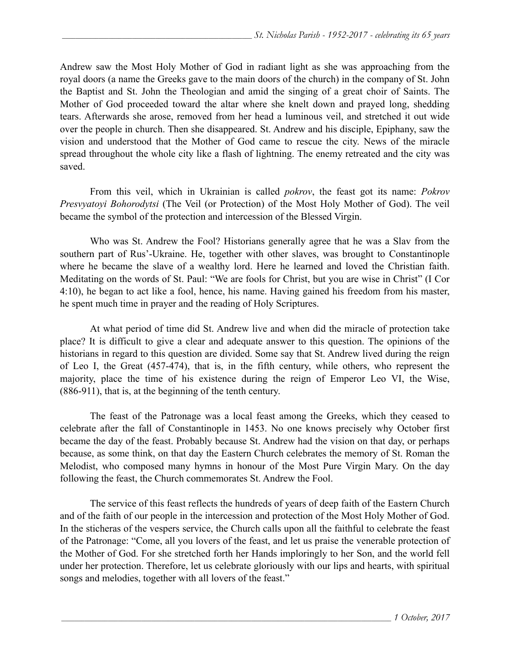Andrew saw the Most Holy Mother of God in radiant light as she was approaching from the royal doors (a name the Greeks gave to the main doors of the church) in the company of St. John the Baptist and St. John the Theologian and amid the singing of a great choir of Saints. The Mother of God proceeded toward the altar where she knelt down and prayed long, shedding tears. Afterwards she arose, removed from her head a luminous veil, and stretched it out wide over the people in church. Then she disappeared. St. Andrew and his disciple, Epiphany, saw the vision and understood that the Mother of God came to rescue the city. News of the miracle spread throughout the whole city like a flash of lightning. The enemy retreated and the city was saved.

 From this veil, which in Ukrainian is called *pokrov*, the feast got its name: *Pokrov Presvyatoyi Bohorodytsi* (The Veil (or Protection) of the Most Holy Mother of God). The veil became the symbol of the protection and intercession of the Blessed Virgin.

 Who was St. Andrew the Fool? Historians generally agree that he was a Slav from the southern part of Rus'-Ukraine. He, together with other slaves, was brought to Constantinople where he became the slave of a wealthy lord. Here he learned and loved the Christian faith. Meditating on the words of St. Paul: "We are fools for Christ, but you are wise in Christ" (I Cor 4:10), he began to act like a fool, hence, his name. Having gained his freedom from his master, he spent much time in prayer and the reading of Holy Scriptures.

 At what period of time did St. Andrew live and when did the miracle of protection take place? It is difficult to give a clear and adequate answer to this question. The opinions of the historians in regard to this question are divided. Some say that St. Andrew lived during the reign of Leo I, the Great (457-474), that is, in the fifth century, while others, who represent the majority, place the time of his existence during the reign of Emperor Leo VI, the Wise, (886-911), that is, at the beginning of the tenth century.

 The feast of the Patronage was a local feast among the Greeks, which they ceased to celebrate after the fall of Constantinople in 1453. No one knows precisely why October first became the day of the feast. Probably because St. Andrew had the vision on that day, or perhaps because, as some think, on that day the Eastern Church celebrates the memory of St. Roman the Melodist, who composed many hymns in honour of the Most Pure Virgin Mary. On the day following the feast, the Church commemorates St. Andrew the Fool.

 The service of this feast reflects the hundreds of years of deep faith of the Eastern Church and of the faith of our people in the intercession and protection of the Most Holy Mother of God. In the sticheras of the vespers service, the Church calls upon all the faithful to celebrate the feast of the Patronage: "Come, all you lovers of the feast, and let us praise the venerable protection of the Mother of God. For she stretched forth her Hands imploringly to her Son, and the world fell under her protection. Therefore, let us celebrate gloriously with our lips and hearts, with spiritual songs and melodies, together with all lovers of the feast."